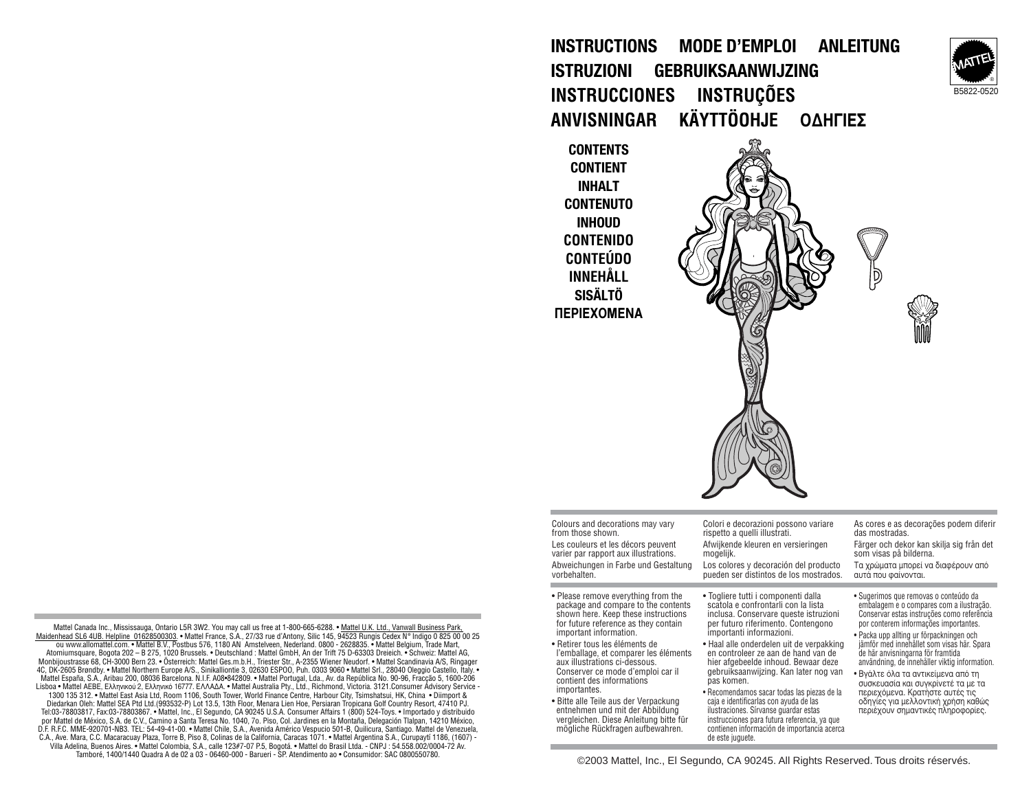

**INSTRUCTIONS MODE D'EMPLOI ANLEITUNG ISTRUZIONI GEBRUIKSAANWIJZING INSTRUCCIONES INSTRUÇÕES ANVISNINGAR KÄYTTÖOHJE OΔHΓIΕΣ** 

**CONTENTS CONTIENT INHALT CONTENUTO INHOUD CONTENIDO CONTEÚDO INNEHÅLL SISÄLTÖ ΠΕΡΙΕΧΟΜΕΝΑ** 

**Contract Contract** 

mögliche Rückfragen aufbewahren.

| Colours and decorations may vary<br>from those shown.<br>Les couleurs et les décors peuvent<br>varier par rapport aux illustrations.<br>Abweichungen in Farbe und Gestaltung<br>vorbehalten.                                                                                                                                                                                                                                                                                                            | Colori e decorazioni possono variare<br>rispetto a quelli illustrati.<br>Afwijkende kleuren en versieringen<br>mogelijk.<br>Los colores y decoración del producto<br>pueden ser distintos de los mostrados.                                                                                                                                                                                                                                                                                                                                              | As cores e as decorações podem diferir<br>das mostradas.<br>Färger och dekor kan skilja sig från det<br>som visas på bilderna.<br>Τα χρώματα μπορεί να διαφέρουν από<br>αυτά που φαίνονται.                                                                                                                                                                                                                                                                                                                                                        |
|---------------------------------------------------------------------------------------------------------------------------------------------------------------------------------------------------------------------------------------------------------------------------------------------------------------------------------------------------------------------------------------------------------------------------------------------------------------------------------------------------------|----------------------------------------------------------------------------------------------------------------------------------------------------------------------------------------------------------------------------------------------------------------------------------------------------------------------------------------------------------------------------------------------------------------------------------------------------------------------------------------------------------------------------------------------------------|----------------------------------------------------------------------------------------------------------------------------------------------------------------------------------------------------------------------------------------------------------------------------------------------------------------------------------------------------------------------------------------------------------------------------------------------------------------------------------------------------------------------------------------------------|
|                                                                                                                                                                                                                                                                                                                                                                                                                                                                                                         |                                                                                                                                                                                                                                                                                                                                                                                                                                                                                                                                                          |                                                                                                                                                                                                                                                                                                                                                                                                                                                                                                                                                    |
| • Please remove everything from the<br>package and compare to the contents<br>shown here. Keep these instructions<br>for future reference as they contain<br>important information.<br>• Retirer tous les éléments de<br>l'emballage, et comparer les éléments<br>aux illustrations ci-dessous.<br>Conserver ce mode d'emploi car il<br>contient des informations<br>importantes.<br>• Bitte alle Teile aus der Verpackung<br>entnehmen und mit der Abbildung<br>vergleichen. Diese Anleitung bitte für | • Togliere tutti i componenti dalla<br>scatola e confrontarli con la lista<br>inclusa. Conservare queste istruzioni<br>per futuro riferimento. Contengono<br>importanti informazioni.<br>• Haal alle onderdelen uit de verpakking<br>en controleer ze aan de hand van de<br>hier afgebeelde inhoud. Bewaar deze<br>gebruiksaanwijzing. Kan later nog van<br>pas komen.<br>• Recomendamos sacar todas las piezas de la<br>caja e identificarlas con ayuda de las<br>ilustraciones. Sírvanse quardar estas<br>instrucciones para futura referencia, ya que | • Sugerimos que removas o conteúdo da<br>embalagem e o compares com a ilustração.<br>Conservar estas instruções como referência<br>por conterem informações importantes.<br>• Packa upp allting ur förpackningen och<br>jämför med innehållet som visas här. Spara<br>de här anvisningarna för framtida<br>användning, de innehåller viktig information.<br>• Βγάλτε όλα τα αντικείμενα από τη<br>συσκευασία και συγκρίνετέ τα με τα<br>περιεχόμενα. Κρατήστε αυτές τις<br>οδηγίες για μελλοντική χρήση καθώς<br>περιέχουν σημαντικές πληροφορίες. |

Mattel Canada Inc., Mississauga, Ontario L5R 3W2. You may call us free at 1-800-665-6288. • Mattel U.K. Ltd., Vanwall Business Park M<u>aidenhead SL6 4UB. Helpline 01628500303</u>. • Mattel France, S.A., 27/33 rue d'Antony, Silic 145, 94523 Rungis Cedex N° Indigo 0 825 00 00 25<br>ou www.allomattel.com. • Mattel B.V., Postbus 576, 1180 AN Amstelveen, Nederla Atomiumsquare, Bogota 202 – B 275, 1020 Brussels. • Deutschland : Mattel GmbH, An der Trift 75 D-63303 Dreieich. • Schweiz: Mattel AG,<br>Monbijoustrasse 68, CH-3000 Bern 23. • Österreich: Mattel Ges.m.b.H., Triester Str., A-4C, DK-2605 Brøndby. • Mattel Northern Europe A/S., Sinikalliontie 3, 02630 ESPOO, Puh. 0303 9060 • Mattel Srl., 28040 Oleggio Castello, Italy. • Mattel España, S.A., Aribau 200, 08036 Barcelona. N.I.F. A08•842809. • Mattel Portugal, Lda., Av. da República No. 90-96, Fracção 5, 1600-206 Lisboa • Mattel AEBE, Ελληνικού 2, Ελληνικό 16777. ΕΛΛΑΔΑ. • Mattel Australia Pty., Ltd., Richmond, Victoria. 3121.Consumer Αdvisory Service -1300 135 312. • Mattel East Asia Ltd, Room 1106, South Tower, World Finance Centre, Harbour City, Tsimshatsui, HK, China • Diimport & Diedarkan Oleh: Mattel SEA Ptd Ltd.(993532-P) Lot 13.5, 13th Floor, Menara Lien Hoe, Persiaran Tropicana Golf Country Resort, 47410 PJ. Tel:03-78803817, Fax:03-78803867. • Mattel, Inc., El Segundo, CA 90245 U.S.A. Consumer Affairs 1 (800) 524-Toys. • Importado y distribuido<br>por Mattel de México, S.A. de C.V., Camino a Santa Teresa No. 1040, 7o. Piso, Col. D.F. R.F.C. MME-920701-NB3. TEL: 54-49-41-00. • Mattel Chile, S.A., Avenida Américo Vespucio 501-B, Quilicura, Santiago. Mattel de Venezuela, C.A., Ave. Mara, C.C. Macaracuay Plaza, Torre B, Piso 8, Colinas de la California, Caracas 1071. • Mattel Argentina S.A., Curupaytí 1186, (1607) - Villa Adelina, Buenos Aires. • Mattel Colombia, S.A., calle 123#7-07 P.5, Bogotá. • Mattel do Brasil Ltda. - CNPJ : 54.558.002/0004-72 Av.

Tamboré, 1400/1440 Quadra A de 02 a 03 - 06460-000 - Barueri - SP. Atendimento ao • Consumidor: SAC 0800550780.

contienen información de importancia acerca

de este juguete.